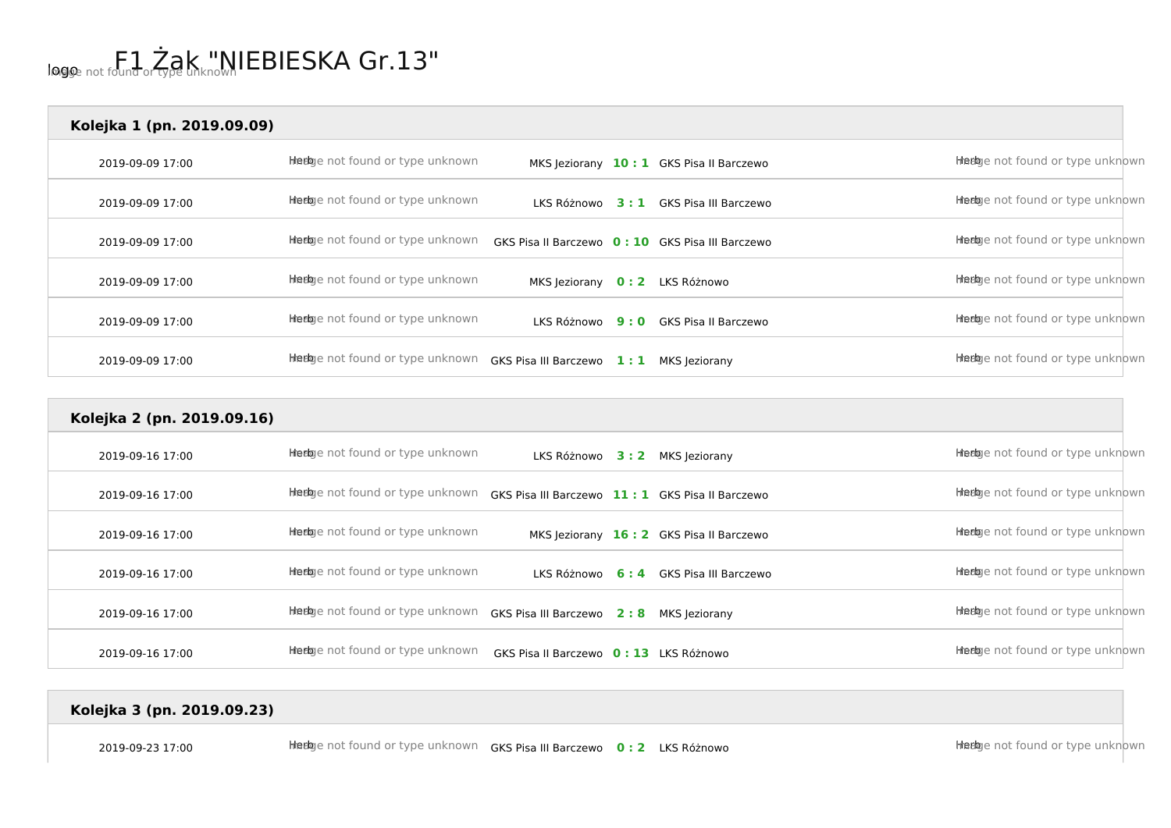| Kolejka 1 (pn. 2019.09.09) |                                  |                                |     |                                                  |                                  |
|----------------------------|----------------------------------|--------------------------------|-----|--------------------------------------------------|----------------------------------|
| 2019-09-09 17:00           | Hiedge not found or type unknown |                                |     | MKS Jeziorany 10: 1 GKS Pisa II Barczewo         | Heebye not found or type unknown |
| 2019-09-09 17:00           | Heebje not found or type unknown | LKS Różnowo                    |     | <b>3: 1</b> GKS Pisa III Barczewo                | Heebye not found or type unknown |
| 2019-09-09 17:00           | Heebye not found or type unknown |                                |     | GKS Pisa II Barczewo 0: 10 GKS Pisa III Barczewo | Heebye not found or type unknown |
| 2019-09-09 17:00           | Heebje not found or type unknown | MKS Jeziorany 0: 2 LKS Różnowo |     |                                                  | Heebye not found or type unknown |
| 2019-09-09 17:00           | Heebye not found or type unknown | LKS Różnowo                    | 9:0 | GKS Pisa II Barczewo                             | Heebye not found or type unknown |
| 2019-09-09 17:00           | Heebye not found or type unknown | <b>GKS Pisa III Barczewo</b>   | 1:1 | MKS Jeziorany                                    | Heebye not found or type unknown |

| Kolejka 2 (pn. 2019.09.16) |                                   |                                                  |                                          |                                  |
|----------------------------|-----------------------------------|--------------------------------------------------|------------------------------------------|----------------------------------|
| 2019-09-16 17:00           | Heebye not found or type unknown  |                                                  | LKS Różnowo 3: 2 MKS Jeziorany           | Heebje not found or type unknown |
| 2019-09-16 17:00           | Heebye not found or type unknown  | GKS Pisa III Barczewo 11: 1 GKS Pisa II Barczewo |                                          | Heebye not found or type unknown |
| 2019-09-16 17:00           | Heebje not found or type unknown  |                                                  | MKS Jeziorany 16: 2 GKS Pisa II Barczewo | Heebje not found or type unknown |
| 2019-09-16 17:00           | Heeloge not found or type unknown |                                                  | LKS Różnowo 6:4 GKS Pisa III Barczewo    | Heebje not found or type unknown |
| 2019-09-16 17:00           | Heelge not found or type unknown  | GKS Pisa III Barczewo 2:8 MKS Jeziorany          |                                          | Heebje not found or type unknown |
| 2019-09-16 17:00           | Heebye not found or type unknown  | GKS Pisa II Barczewo 0: 13 LKS Różnowo           |                                          | Heebye not found or type unknown |

## **Kolejka 3 (pn. 2019.09.23)**